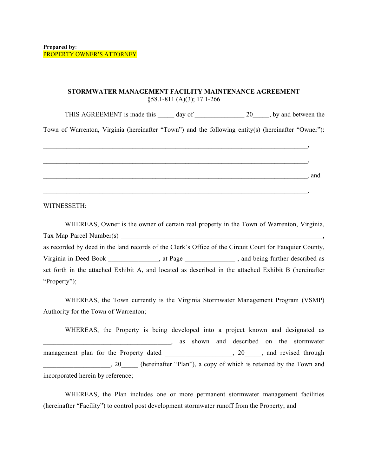#### **STORMWATER MANAGEMENT FACILITY MAINTENANCE AGREEMENT** §58.1-811 (A)(3); 17.1-266

THIS AGREEMENT is made this day of 20 the between the

Town of Warrenton, Virginia (hereinafter "Town") and the following entity(s) (hereinafter "Owner"):

|  |  | and |
|--|--|-----|
|  |  |     |
|  |  |     |

WITNESSETH:

WHEREAS, Owner is the owner of certain real property in the Town of Warrenton, Virginia,  $Tax Map Parel Number(s)$ as recorded by deed in the land records of the Clerk's Office of the Circuit Court for Fauquier County, Virginia in Deed Book \_\_\_\_\_\_\_\_\_\_\_, at Page \_\_\_\_\_\_\_\_\_\_\_\_\_, and being further described as set forth in the attached Exhibit A, and located as described in the attached Exhibit B (hereinafter "Property");

WHEREAS, the Town currently is the Virginia Stormwater Management Program (VSMP) Authority for the Town of Warrenton;

WHEREAS, the Property is being developed into a project known and designated as \_\_\_\_\_\_\_\_\_\_\_\_\_\_\_\_\_\_\_\_\_\_\_\_\_\_\_\_\_\_\_\_\_\_\_\_\_\_, as shown and described on the stormwater management plan for the Property dated and the set of the Separate and through through through the set of the Property dated through the set of the Property dated set of the Separate set of the Property dated set of the Se . 20 (hereinafter "Plan"), a copy of which is retained by the Town and incorporated herein by reference;

WHEREAS, the Plan includes one or more permanent stormwater management facilities (hereinafter "Facility") to control post development stormwater runoff from the Property; and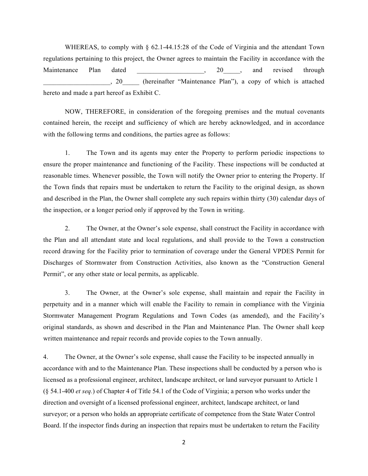WHEREAS, to comply with  $\S$  62.1-44.15:28 of the Code of Virginia and the attendant Town regulations pertaining to this project, the Owner agrees to maintain the Facility in accordance with the Maintenance Plan dated \_\_\_\_\_\_\_\_\_\_\_\_\_\_\_\_\_, 20\_\_\_\_, and revised through \_\_\_\_\_\_\_\_\_\_\_\_\_\_\_\_\_\_\_\_, 20\_\_\_\_\_ (hereinafter "Maintenance Plan"), a copy of which is attached hereto and made a part hereof as Exhibit C.

NOW, THEREFORE, in consideration of the foregoing premises and the mutual covenants contained herein, the receipt and sufficiency of which are hereby acknowledged, and in accordance with the following terms and conditions, the parties agree as follows:

1. The Town and its agents may enter the Property to perform periodic inspections to ensure the proper maintenance and functioning of the Facility. These inspections will be conducted at reasonable times. Whenever possible, the Town will notify the Owner prior to entering the Property. If the Town finds that repairs must be undertaken to return the Facility to the original design, as shown and described in the Plan, the Owner shall complete any such repairs within thirty (30) calendar days of the inspection, or a longer period only if approved by the Town in writing.

2. The Owner, at the Owner's sole expense, shall construct the Facility in accordance with the Plan and all attendant state and local regulations, and shall provide to the Town a construction record drawing for the Facility prior to termination of coverage under the General VPDES Permit for Discharges of Stormwater from Construction Activities, also known as the "Construction General Permit", or any other state or local permits, as applicable.

3. The Owner, at the Owner's sole expense, shall maintain and repair the Facility in perpetuity and in a manner which will enable the Facility to remain in compliance with the Virginia Stormwater Management Program Regulations and Town Codes (as amended), and the Facility's original standards, as shown and described in the Plan and Maintenance Plan. The Owner shall keep written maintenance and repair records and provide copies to the Town annually.

4. The Owner, at the Owner's sole expense, shall cause the Facility to be inspected annually in accordance with and to the Maintenance Plan. These inspections shall be conducted by a person who is licensed as a professional engineer, architect, landscape architect, or land surveyor pursuant to Article 1 (§ [54.1-400](http://law.lis.virginia.gov/vacode/54.1-400/) *et seq.*) of Chapter 4 of Title 54.1 of the Code of Virginia; a person who works under the direction and oversight of a licensed professional engineer, architect, landscape architect, or land surveyor; or a person who holds an appropriate certificate of competence from the State Water Control Board. If the inspector finds during an inspection that repairs must be undertaken to return the Facility

2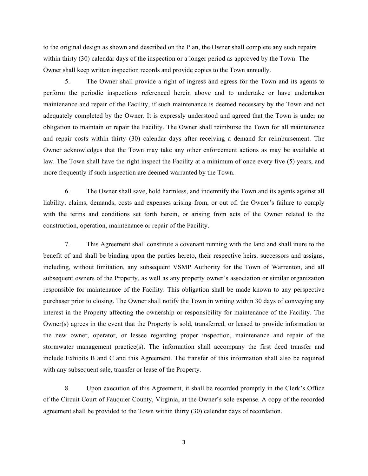to the original design as shown and described on the Plan, the Owner shall complete any such repairs within thirty (30) calendar days of the inspection or a longer period as approved by the Town. The Owner shall keep written inspection records and provide copies to the Town annually.

5. The Owner shall provide a right of ingress and egress for the Town and its agents to perform the periodic inspections referenced herein above and to undertake or have undertaken maintenance and repair of the Facility, if such maintenance is deemed necessary by the Town and not adequately completed by the Owner. It is expressly understood and agreed that the Town is under no obligation to maintain or repair the Facility. The Owner shall reimburse the Town for all maintenance and repair costs within thirty (30) calendar days after receiving a demand for reimbursement. The Owner acknowledges that the Town may take any other enforcement actions as may be available at law. The Town shall have the right inspect the Facility at a minimum of once every five (5) years, and more frequently if such inspection are deemed warranted by the Town.

6. The Owner shall save, hold harmless, and indemnify the Town and its agents against all liability, claims, demands, costs and expenses arising from, or out of, the Owner's failure to comply with the terms and conditions set forth herein, or arising from acts of the Owner related to the construction, operation, maintenance or repair of the Facility.

7. This Agreement shall constitute a covenant running with the land and shall inure to the benefit of and shall be binding upon the parties hereto, their respective heirs, successors and assigns, including, without limitation, any subsequent VSMP Authority for the Town of Warrenton, and all subsequent owners of the Property, as well as any property owner's association or similar organization responsible for maintenance of the Facility. This obligation shall be made known to any perspective purchaser prior to closing. The Owner shall notify the Town in writing within 30 days of conveying any interest in the Property affecting the ownership or responsibility for maintenance of the Facility. The Owner(s) agrees in the event that the Property is sold, transferred, or leased to provide information to the new owner, operator, or lessee regarding proper inspection, maintenance and repair of the stormwater management practice(s). The information shall accompany the first deed transfer and include Exhibits B and C and this Agreement. The transfer of this information shall also be required with any subsequent sale, transfer or lease of the Property.

8. Upon execution of this Agreement, it shall be recorded promptly in the Clerk's Office of the Circuit Court of Fauquier County, Virginia, at the Owner's sole expense. A copy of the recorded agreement shall be provided to the Town within thirty (30) calendar days of recordation.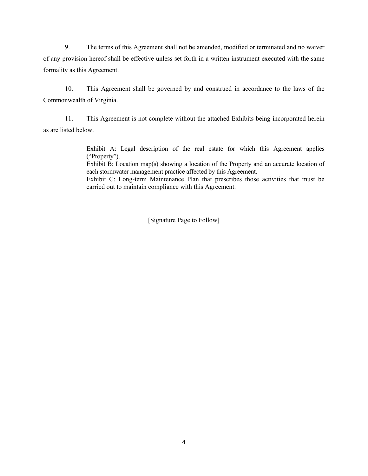9. The terms of this Agreement shall not be amended, modified or terminated and no waiver of any provision hereof shall be effective unless set forth in a written instrument executed with the same formality as this Agreement.

10. This Agreement shall be governed by and construed in accordance to the laws of the Commonwealth of Virginia.

11. This Agreement is not complete without the attached Exhibits being incorporated herein as are listed below.

> Exhibit A: Legal description of the real estate for which this Agreement applies ("Property").

> Exhibit B: Location map(s) showing a location of the Property and an accurate location of each stormwater management practice affected by this Agreement.

> Exhibit C: Long-term Maintenance Plan that prescribes those activities that must be carried out to maintain compliance with this Agreement.

> > [Signature Page to Follow]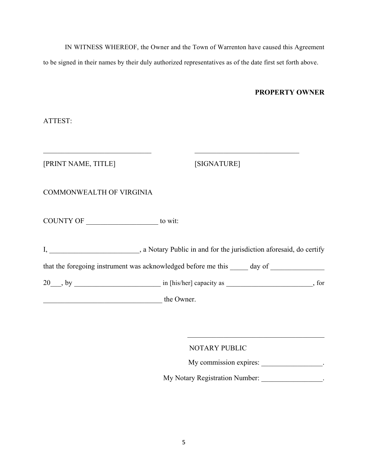IN WITNESS WHEREOF, the Owner and the Town of Warrenton have caused this Agreement to be signed in their names by their duly authorized representatives as of the date first set forth above.

#### **PROPERTY OWNER**

ATTEST:

E] [SIGNATURE]

### COMMONWEALTH OF VIRGINIA

COUNTY OF \_\_\_\_\_\_\_\_\_\_\_\_\_\_\_\_\_\_\_\_ to wit:

I, \_\_\_\_\_\_\_\_\_\_\_\_\_\_\_\_\_\_\_\_\_\_\_, a Notary Public in and for the jurisdiction aforesaid, do certify that the foregoing instrument was acknowledged before me this \_\_\_\_\_ day of 20\_\_\_, by \_\_\_\_\_\_\_\_\_\_\_\_\_\_\_\_\_\_\_\_\_\_\_\_ in [his/her] capacity as \_\_\_\_\_\_\_\_\_\_\_\_\_\_\_\_\_\_\_\_\_\_\_\_, for

\_\_\_\_\_\_\_\_\_\_\_\_\_\_\_\_\_\_\_\_\_\_\_\_\_\_\_\_\_\_\_\_\_ the Owner.

NOTARY PUBLIC

My commission expires: \_\_\_\_\_\_\_\_\_\_\_\_\_\_\_\_.

\_\_\_\_\_\_\_\_\_\_\_\_\_\_\_\_\_\_\_\_\_\_\_\_\_\_\_\_\_\_\_\_\_\_\_\_\_\_

My Notary Registration Number: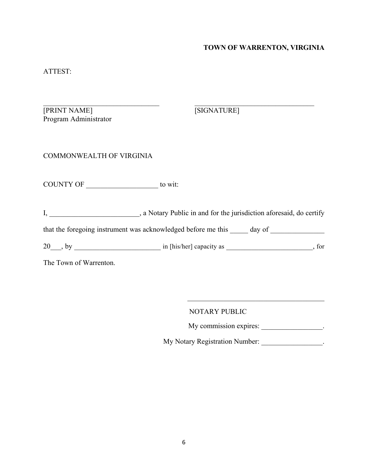# **TOWN OF WARRENTON, VIRGINIA**

# ATTEST:

| [PRINT NAME]<br>Program Administrator                                             | [SIGNATURE] |  |
|-----------------------------------------------------------------------------------|-------------|--|
| <b>COMMONWEALTH OF VIRGINIA</b>                                                   |             |  |
| COUNTY OF __________________________ to wit:                                      |             |  |
| I, 1. All 2003, a Notary Public in and for the jurisdiction aforesaid, do certify |             |  |
| that the foregoing instrument was acknowledged before me this ______ day of       |             |  |
|                                                                                   |             |  |
| The Town of Warrenton.                                                            |             |  |

NOTARY PUBLIC

My commission expires: \_\_\_\_\_\_\_\_\_\_\_\_\_\_\_\_\_\_.

 $\overline{\phantom{a}}$  , where  $\overline{\phantom{a}}$ 

My Notary Registration Number: \_\_\_\_\_\_\_\_\_\_\_\_\_\_\_\_\_.